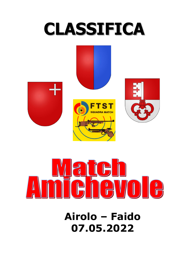# **CLASSIFICA**





**Airolo – Faido 07.05.2022**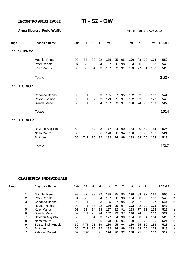Airolo - Faido 07.05.2022

| Rango       |                 | Cognome Nome        | Data | <b>CT</b>       | G  | G  | tot | Т  | т  | tot | P  | $\mathsf{P}$ | tot | <b>TOTALE</b> |
|-------------|-----------------|---------------------|------|-----------------|----|----|-----|----|----|-----|----|--------------|-----|---------------|
| $1^{\circ}$ | <b>SCHWYZ</b>   |                     |      |                 |    |    |     |    |    |     |    |              |     |               |
|             |                 | Mächler Remo        | 99   | <b>SZ</b>       | 93 | 92 | 185 | 95 | 95 | 190 | 83 | 92           | 175 | 550           |
|             |                 | Peter Renate        | 94   | <b>SZ</b>       | 93 | 94 | 187 | 96 | 98 | 194 | 80 | 88           | 168 | 549           |
|             |                 | <b>Koler Marius</b> | 02   | SZ              | 94 | 93 | 187 | 92 | 91 | 183 | 77 | 81           | 158 | 528           |
|             |                 | Totale              |      |                 |    |    |     |    |    |     |    |              |     | 1627          |
| $2^{\circ}$ | <b>TICINO 1</b> |                     |      |                 |    |    |     |    |    |     |    |              |     |               |
|             |                 | Cattaneo Benno      | 98   | T11             | 92 | 93 | 185 | 97 | 95 | 192 | 82 | 85           | 167 | 544           |
|             |                 | Rovati Thomas       | 93   | TI <sub>1</sub> | 87 | 92 | 179 | 95 | 97 | 192 | 82 | 90           | 172 | 543           |
|             |                 | Bianchi Mario       | 59   | T11             | 93 | 94 | 187 | 93 | 97 | 190 | 74 | 76           | 150 | 527           |
|             |                 | Totale              |      |                 |    |    |     |    |    |     |    |              |     | 1614          |
| $3^\circ$   | <b>TICINO 2</b> |                     |      |                 |    |    |     |    |    |     |    |              |     |               |
|             |                 | Devittori Augusto   | 62   | TI <sub>2</sub> | 84 | 93 | 177 | 94 | 90 | 184 | 80 | 84           | 164 | 525           |
|             |                 | Nesa Mauro          | 58   | TI <sub>2</sub> | 92 | 86 | 178 | 96 | 94 | 190 | 81 | 75           | 156 | 524           |
|             |                 | <b>Britt Jan</b>    | 55   | TI <sub>2</sub> | 90 | 92 | 182 | 94 | 89 | 183 | 83 | 70           | 153 | 518           |
|             |                 | Totale              |      |                 |    |    |     |    |    |     |    |              |     | 1567          |

| Rango | Cognome Nome         | Data | СT         | G  | G  | tot |    |    | tot | P  | P  | tot | <b>TOTALE</b> |    |
|-------|----------------------|------|------------|----|----|-----|----|----|-----|----|----|-----|---------------|----|
|       | Mächler Remo         | 99   | SZ         | 93 | 92 | 185 | 95 | 95 | 190 | 83 | 92 | 175 | 550           | 8  |
| 2     | Peter Renate         | 94   | SZ         | 93 | 94 | 187 | 96 | 98 | 194 | 80 | 88 | 168 | 549           | 13 |
| 3     | Cattaneo Benno       | 98   | TI 1       | 92 | 93 | 185 | 97 | 95 | 192 | 82 | 85 | 167 | 544           | 10 |
| 4     | Rovati Thomas        | 93   |            | 87 | 92 | 179 | 95 | 97 | 192 | 82 | 90 | 172 | 543           | 8  |
| 5     | <b>Koler Marius</b>  | 02   | SZ         | 94 | 93 | 187 | 92 | 91 | 183 | 77 | 81 | 158 | 528           | 5  |
| 6     | Bianchi Mario        | 59   | 1          | 93 | 94 | 187 | 93 | 97 | 190 | 74 | 76 | 150 | 527           | 8  |
|       | Devittori Augusto    | 62   | TI 2       | 84 | 93 | 177 | 94 | 90 | 184 | 80 | 84 | 164 | 525           | 6  |
| 8     | Nesa Mauro           | 58   | TI 2       | 92 | 86 | 178 | 96 | 94 | 190 | 81 | 75 | 156 | 524           | 10 |
| 9     | Beltraminelli Angelo | 60   | R TI       | 91 | 89 | 180 | 95 | 94 | 189 | 65 | 89 | 154 | 523           | 7  |
| 10    | Britt Jan            | 55   | TI 2       | 90 | 92 | 182 | 94 | 89 | 183 | 83 | 70 | 153 | 518           | 6  |
| 11    | Zehnder Robert       | 67   | <b>RSZ</b> | 83 | 91 | 174 | 96 | 92 | 188 | 75 | 75 | 150 | 512           | 8  |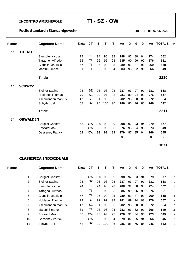### **Fucile Standard /Standardgewehr Airolo - Faido 07.05.2022**

| Rango       |                 | <b>Cognome Nome</b>     | Data | <b>CT</b> | Т   | т   | т  | tot | G  | G  | G  | tot | <b>TOTALE</b> | M |
|-------------|-----------------|-------------------------|------|-----------|-----|-----|----|-----|----|----|----|-----|---------------|---|
| $1^{\circ}$ | TICINO          |                         |      |           |     |     |    |     |    |    |    |     |               |   |
|             |                 | Stempfel Nicola         | 74   | ΤI        | 94  | 96  | 98 | 288 | 92 | 88 | 94 | 274 | 562           |   |
|             |                 | Taragnoli Alfredo       | 55   | ΤI        | 96  | 96  | 93 | 285 | 90 | 96 | 90 | 276 | 561           |   |
|             |                 | Gianella Maurizio       | 57   | ΤI        | 95  | 99  | 95 | 289 | 91 | 87 | 91 | 269 | 558           |   |
|             |                 | <b>Martini Simone</b>   | 61   | ΤI        | 93  | 96  | 94 | 283 | 93 | 82 | 91 | 266 | 549           |   |
|             |                 | Totale                  |      |           |     |     |    |     |    |    |    |     | 2230          |   |
| $2^{\circ}$ | <b>SCHWYZ</b>   |                         |      |           |     |     |    |     |    |    |    |     |               |   |
|             |                 | Steiner Sabina          | 95   | <b>SZ</b> | 93  | 96  | 98 | 287 | 93 | 97 | 91 | 281 | 568           |   |
|             |                 | <b>Holdener Thomas</b>  | 79   | <b>SZ</b> | 92  | 97  | 92 | 281 | 89 | 94 | 93 | 276 | 557           |   |
|             |                 | Aschwanden Markus       | 47   | <b>SZ</b> | 91  | 95  | 96 | 282 | 93 | 90 | 89 | 272 | 554           |   |
|             |                 | Schyder Ueli            | 58   | SZ        | 90  | 100 | 96 | 286 | 85 | 76 | 85 | 246 | 532           |   |
|             |                 | Totale                  |      |           |     |     |    |     |    |    |    |     | 2211          |   |
| $3^\circ$   | <b>OBWALDEN</b> |                         |      |           |     |     |    |     |    |    |    |     |               |   |
|             |                 | Carigiet Christof       | 65   | <b>OW</b> | 100 | 99  | 99 | 298 | 92 | 93 | 94 | 279 | 577           |   |
|             |                 | <b>Bossard Max</b>      | 66   | <b>OW</b> | 88  | 93  | 95 | 276 | 93 | 84 | 96 | 273 | 549           |   |
|             |                 | <b>Gesseney Patrick</b> | 62   | <b>OW</b> | 93  | 92  | 94 | 279 | 87 | 85 | 94 | 266 | 545           |   |
|             |                 |                         |      |           |     |     |    | 0   |    |    |    | 0   | 0             |   |
|             |                 |                         |      |           |     |     |    |     |    |    |    |     | 1671          |   |

| Rango |    | <b>Cognome Nome</b>      | Data | СT        |     |     |    | tot | G  | G  | G  | tot | TOTALE |    |
|-------|----|--------------------------|------|-----------|-----|-----|----|-----|----|----|----|-----|--------|----|
|       |    | <b>Carigiet Christof</b> | 65   | <b>OW</b> | 100 | 99  | 99 | 298 | 92 | 93 | 94 | 279 | 577    | 15 |
|       | 2  | Steiner Sabina           | 95   | <b>SZ</b> | 93  | 96  | 98 | 287 | 93 | 97 | 91 | 281 | 568    | 8  |
|       | 3  | <b>Stempfel Nicola</b>   | 74   | TI        | 94  | 96  | 98 | 288 | 92 | 88 | 94 | 274 | 562    | 14 |
|       | 4  | Taragnoli Alfredo        | 55   | TI        | 96  | 96  | 93 | 285 | 90 | 96 | 90 | 276 | 561    | 18 |
|       | 5  | Gianella Maurizio        | 57   | TI        | 95  | 99  | 95 | 289 | 91 | 87 | 91 | 269 | 558    | 11 |
|       | 6  | <b>Holdener Thomas</b>   | 79   | SZ        | 92  | 97  | 92 | 281 | 89 | 94 | 93 | 276 | 557    | 8  |
|       | 7  | Aschwanden Markus        | 47   | SZ        | 91  | 95  | 96 | 282 | 93 | 90 | 89 | 272 | 554    | 10 |
|       | 8  | Martini Simone           | 61   | ΤI        | 93  | 96  | 94 | 283 | 93 | 82 | 91 | 266 | 549    | 11 |
|       | 9  | <b>Bossard Max</b>       | 66   | <b>OW</b> | 88  | 93  | 95 | 276 | 93 | 84 | 96 | 273 | 549    | 7  |
|       | 10 | <b>Gesseney Patrick</b>  | 62   | <b>OW</b> | 93  | 92  | 94 | 279 | 87 | 85 | 94 | 266 | 545    | 6  |
|       | 11 | Schyder Ueli             | 58   | <b>SZ</b> | 90  | 100 | 96 | 286 | 85 | 76 | 85 | 246 | 532    |    |
|       |    |                          |      |           |     |     |    |     |    |    |    |     |        |    |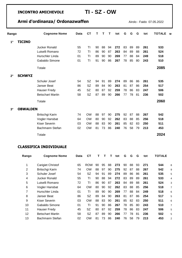## Armi d'ordinanza/ Ordonazwaffen **Airolo - Faido 07.05.2022**

| Rango       |                 | <b>Cognome Nome</b>     | Data | СT        | т  | т  | т  | tot | G  | G  | G  | tot | <b>TOTALE</b> | M |
|-------------|-----------------|-------------------------|------|-----------|----|----|----|-----|----|----|----|-----|---------------|---|
| $1^{\circ}$ | TICINO          |                         |      |           |    |    |    |     |    |    |    |     |               |   |
|             |                 | Jucker Ronald           | 55   | ΤI        | 90 | 88 | 94 | 272 | 83 | 89 | 89 | 261 | 533           |   |
|             |                 | Luiselli Romano         | 72   | ΤI        | 86 | 90 | 87 | 263 | 84 | 89 | 88 | 261 | 524           |   |
|             |                 | <b>Hurschler Linda</b>  | 01   | ΤI        | 89 | 90 | 90 | 269 | 77 | 88 | 84 | 249 | 518           |   |
|             |                 | Gabaldo Simone          | 01   | TI        | 91 | 90 | 86 | 267 | 78 | 85 | 80 | 243 | 510           |   |
|             |                 | Totale                  |      |           |    |    |    |     |    |    |    |     | 2085          |   |
| $2^{\circ}$ | <b>SCHWYZ</b>   |                         |      |           |    |    |    |     |    |    |    |     |               |   |
|             |                 | Schuler Josef           | 54   | <b>SZ</b> | 94 | 91 | 89 | 274 | 89 | 86 | 86 | 261 | 535           |   |
|             |                 | Janser Beat             | 86   | <b>SZ</b> | 89 | 84 | 90 | 263 | 81 | 87 | 86 | 254 | 517           |   |
|             |                 | <b>Hauser Fredy</b>     | 45   | <b>SZ</b> | 80 | 87 | 92 | 259 | 78 | 86 | 83 | 247 | 506           |   |
|             |                 | <b>Betschart Martin</b> | 58   | <b>SZ</b> | 87 | 89 | 90 | 266 | 77 | 78 | 81 | 236 | 502           |   |
|             |                 | Totale                  |      |           |    |    |    |     |    |    |    |     | 2060          |   |
| $3^\circ$   | <b>OBWALDEN</b> |                         |      |           |    |    |    |     |    |    |    |     |               |   |
|             |                 | Britschgi Karin         | 74   | <b>OW</b> | 88 | 97 | 90 | 275 | 92 | 87 | 88 | 267 | 542           |   |
|             |                 | Vogler Hansbat          | 64   | <b>OW</b> | 80 | 90 | 92 | 262 | 83 | 88 | 85 | 256 | 518           |   |
|             |                 | <b>Kiser Severin</b>    | 03   | <b>OW</b> | 88 | 83 | 90 | 261 | 85 | 82 | 83 | 250 | 511           |   |
|             |                 | Bachmann Stefan         | 02   | <b>OW</b> | 81 | 73 | 86 | 240 | 76 | 58 | 79 | 213 | 453           |   |
|             |                 | Totale                  |      |           |    |    |    |     |    |    |    |     | 2024          |   |

| Rango | <b>Cognome Nome</b>     | Data | CТ        |    |    |    | tot | G  | G  | G  | tot | <b>TOTALE</b> |   |
|-------|-------------------------|------|-----------|----|----|----|-----|----|----|----|-----|---------------|---|
| 1     | Carigiet Christof       | 65   | ROW       | 90 | 95 | 88 | 273 | 90 | 88 | 93 | 271 | 544           | 8 |
| 2     | Britschgi Karin         | 74   | OW        | 88 | 97 | 90 | 275 | 92 | 87 | 88 | 267 | 542           | 9 |
| 3     | Schuler Josef           | 54   | <b>SZ</b> | 94 | 91 | 89 | 274 | 89 | 86 | 86 | 261 | 535           | 5 |
| 4     | Jucker Ronald           | 55   | TI        | 90 | 88 | 94 | 272 | 83 | 89 | 89 | 261 | 533           | 4 |
| 5     | Luiselli Romano         | 72   | TI        | 86 | 90 | 87 | 263 | 84 | 89 | 88 | 261 | 524           | 3 |
| 6     | Vogler Hansbat          | 64   | OW        | 80 | 90 | 92 | 262 | 83 | 88 | 85 | 256 | 518           | 7 |
| 7     | Hurschler Linda         | 01   | ΤI        | 89 | 90 | 90 | 269 | 77 | 88 | 84 | 249 | 518           | 6 |
| 8     | Janser Beat             | 86   | SZ.       | 89 | 84 | 90 | 263 | 81 | 87 | 86 | 254 | 517           | 5 |
| 9     | Kiser Severin           | 03   | OW        | 88 | 83 | 90 | 261 | 85 | 82 | 83 | 250 | 511           | 6 |
| 10    | Gabaldo Simone          | 01   | TI        | 91 | 90 | 86 | 267 | 78 | 85 | 80 | 243 | 510           | 7 |
| 11    | <b>Hauser Fredy</b>     | 45   | SZ        | 80 | 87 | 92 | 259 | 78 | 86 | 83 | 247 | 506           | 5 |
| 12    | <b>Betschart Martin</b> | 58   | SZ        | 87 | 89 | 90 | 266 | 77 | 78 | 81 | 236 | 502           | 5 |
| 13    | Bachmann Stefan         | 02   | OW        | 81 | 73 | 86 | 240 | 76 | 58 | 79 | 213 | 453           | 2 |
|       |                         |      |           |    |    |    |     |    |    |    |     |               |   |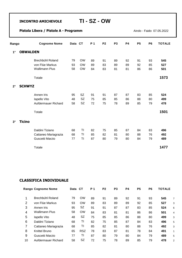#### **Pistola Libera / Pistole A - Programm Airolo - Faido 07.05.2022**

| Rango       |                 | <b>Cognome Nome</b>   | Data CT |           | P 1 | P <sub>2</sub> | P <sub>3</sub> | <b>P4</b> | <b>P5</b> | <b>P6</b> | <b>TOTALE</b> |
|-------------|-----------------|-----------------------|---------|-----------|-----|----------------|----------------|-----------|-----------|-----------|---------------|
| $1^{\circ}$ | <b>OBWALDEN</b> |                       |         |           |     |                |                |           |           |           |               |
|             |                 | Brechbühl Roland      | 79      | <b>OW</b> | 89  | 91             | 89             | 92        | 91        | 93        | 545           |
|             |                 | von Flüe Markus       | 93      | <b>OW</b> | 89  | 83             | 89             | 89        | 92        | 85        | 527           |
|             |                 | <b>Wallimann Pius</b> | 58      | <b>OW</b> | 84  | 83             | 81             | 81        | 86        | 86        | 501           |
|             |                 | Totale                |         |           |     |                |                |           |           |           | 1573          |
| $2^{\circ}$ | <b>SCHWYZ</b>   |                       |         |           |     |                |                |           |           |           |               |
|             |                 | Annen Iris            | 95      | <b>SZ</b> | 91  | 91             | 87             | 87        | 83        | 85        | 524           |
|             |                 | lapello Vito          | 48      | <b>SZ</b> | 75  | 85             | 85             | 86        | 88        | 80        | 499           |
|             |                 | Aufdermauer Richard   | 58      | <b>SZ</b> | 72  | 75             | 78             | 89        | 85        | 79        | 478           |
|             |                 | Totale                |         |           |     |                |                |           |           |           | 1501          |
| $3^\circ$   | <b>Ticino</b>   |                       |         |           |     |                |                |           |           |           |               |
|             |                 | Daldini Tiziano       | 68      | TI        | 82  | 75             | 85             | 87        | 84        | 83        | 496           |
|             |                 | Cattaneo Mariagrazia  | 68      | ΤI        | 85  | 82             | 81             | 80        | 88        | 76        | 492           |
|             |                 | Guscetti Marzio       | 77      | ΤI        | 87  | 80             | 79             | 80        | 84        | 79        | 489           |
|             |                 | Totale                |         |           |     |                |                |           |           |           | 1477          |

|    | <b>Rango Cognome Nome</b> | Data CT |            | <b>P</b> 1 | P <sub>2</sub> | P3 | P4 | P5 | P6 | <b>TOTALE</b> |                |
|----|---------------------------|---------|------------|------------|----------------|----|----|----|----|---------------|----------------|
|    |                           |         |            |            |                |    |    |    |    |               |                |
| 1  | Brechbühl Roland          | 79      | <b>OW</b>  | 89         | 91             | 89 | 92 | 91 | 93 | 545           | $\overline{7}$ |
| 2  | von Flüe Markus           | 93      | <b>OW</b>  | 89         | 83             | 89 | 89 | 92 | 85 | 527           | 3              |
| 3  | Annen Iris                | 95      | SZ         | 91         | 91             | 87 | 87 | 83 | 85 | 524           | 6              |
| 4  | Wallimann Pius            | 58      | <b>OW</b>  | 84         | 83             | 81 | 81 | 86 | 86 | 501           | 4              |
| 5  | lapello Vito              | 48      | SZ         | 75         | 85             | 85 | 86 | 88 | 80 | 499           | 3              |
| 6  | Daldini Tiziano           | 68      | TI         | 82         | 75             | 85 | 87 | 84 | 83 | 496           | 5              |
| 7  | Cattaneo Mariagrazia      | 68      | TI         | 85         | 82             | 81 | 80 | 88 | 76 | 492           | 3              |
| 8  | <b>Knittel Bruno</b>      | 65      | <b>RSZ</b> | 78         | 83             | 87 | 81 | 78 | 84 | 491           | 1              |
| 9  | Guscetti Marzio           | 77      | TI         | 87         | 80             | 79 | 80 | 84 | 79 | 489           | 5              |
| 10 | Aufdermauer Richard       | 58      | SZ         | 72         | 75             | 78 | 89 | 85 | 79 | 478           | 2              |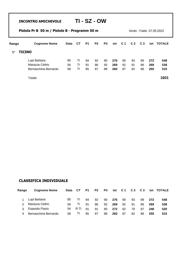|             | Pistola Pr B 50 m / Pistole B - Programm 50 m |             |           |           |                |                |     |     |                | Airolo - Faido 07.05.2022 |     |               |
|-------------|-----------------------------------------------|-------------|-----------|-----------|----------------|----------------|-----|-----|----------------|---------------------------|-----|---------------|
| Rango       | <b>Cognome Nome</b>                           | <b>Data</b> | <b>CT</b> | <b>P1</b> | P <sub>2</sub> | P <sub>3</sub> | tot | C 1 | C <sub>2</sub> | C <sub>3</sub>            | tot | <b>TOTALE</b> |
| $1^{\circ}$ | <b>TICINO</b>                                 |             |           |           |                |                |     |     |                |                           |     |               |
|             | Lupi Barbara                                  | 85          | TI        | 94        | 92             | 90             | 276 | 90  | 93             | 89                        | 272 | 548           |
|             | Marazza Cédric                                | 56          | TI        | 91        | 86             | 92             | 269 | 92  | 91             | 86                        | 269 | 538           |
|             | Bernaschina Bernardo                          | 58          | ΤI        | 85        | 87             | 88             | 260 | 87  | 82             | 86                        | 255 | 515           |
|             | Totale                                        |             |           |           |                |                |     |     |                |                           |     | 1601          |

| Rango         | <b>Cognome Nome</b>    | Data | СT   | P1  | P <sub>2</sub> | P <sub>3</sub> | tot | <b>C</b> 1 | C <sub>2</sub> | C <sub>3</sub> |     | tot TOTALE |
|---------------|------------------------|------|------|-----|----------------|----------------|-----|------------|----------------|----------------|-----|------------|
|               | Lupi Barbara           | 85   |      | 94  | 92             | 90             | 276 | 90         | 93             | 89             | 272 | 548        |
| $\mathcal{P}$ | Marazza Cédric         | 56.  |      | 91  | 86             | 92             | 269 | 92         | 91             | 86             | 269 | 538        |
| 3             | <b>Esposito Flavio</b> | 54   | R TI | .91 | 91             | 90             | 272 | 82         | 79             | 87             | 248 | 520        |
| 4             | Bernaschina Bernardo   | 58   |      | 85  | 87             | 88             | 260 | 87         | 82             | 86             | 255 | 515        |